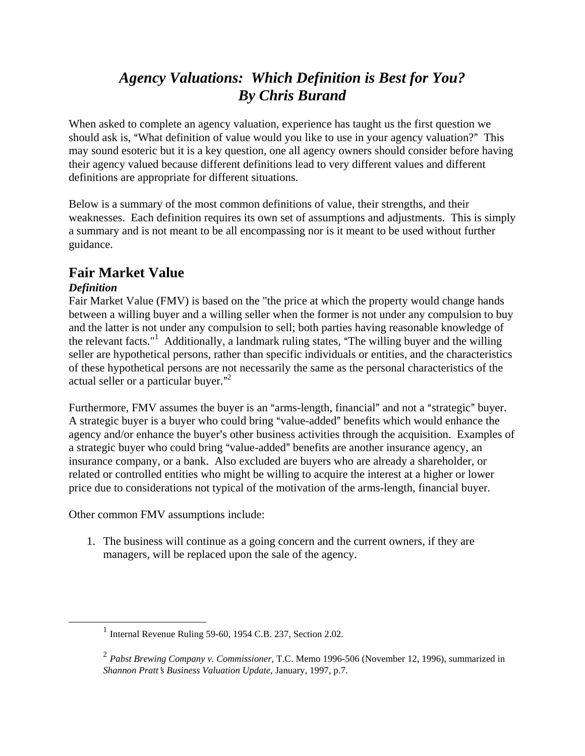# *Agency Valuations: Which Definition is Best for You? By Chris Burand*

When asked to complete an agency valuation, experience has taught us the first question we should ask is, "What definition of value would you like to use in your agency valuation?" This may sound esoteric but it is a key question, one all agency owners should consider before having their agency valued because different definitions lead to very different values and different definitions are appropriate for different situations.

Below is a summary of the most common definitions of value, their strengths, and their weaknesses. Each definition requires its own set of assumptions and adjustments. This is simply a summary and is not meant to be all encompassing nor is it meant to be used without further guidance.

## **Fair Market Value**

## *Definition*

Fair Market Value (FMV) is based on the "the price at which the property would change hands between a willing buyer and a willing seller when the former is not under any compulsion to buy and the latter is not under any compulsion to sell; both parties having reasonable knowledge of the relevant facts."<sup>[1](#page-0-0)</sup> Additionally, a landmark ruling states, "The willing buyer and the willing seller are hypothetical persons, rather than specific individuals or entities, and the characteristics of these hypothetical persons are not necessarily the same as the personal characteristics of the actual seller or a particular buyer."<sup>[2](#page-0-1)</sup>

Furthermore, FMV assumes the buyer is an "arms-length, financial" and not a "strategic" buyer. A strategic buyer is a buyer who could bring "value-added" benefits which would enhance the agency and/or enhance the buyer's other business activities through the acquisition. Examples of a strategic buyer who could bring "value-added" benefits are another insurance agency, an insurance company, or a bank. Also excluded are buyers who are already a shareholder, or related or controlled entities who might be willing to acquire the interest at a higher or lower price due to considerations not typical of the motivation of the arms-length, financial buyer.

Other common FMV assumptions include:

1. The business will continue as a going concern and the current owners, if they are managers, will be replaced upon the sale of the agency.

<span id="page-0-0"></span> $<sup>1</sup>$  Internal Revenue Ruling 59-60, 1954 C.B. 237, Section 2.02.</sup>

<span id="page-0-1"></span><sup>2</sup> *Pabst Brewing Company v. Commissioner*, T.C. Memo 1996-506 (November 12, 1996), summarized in *Shannon Pratt*=*s Business Valuation Update*, January, 1997, p.7.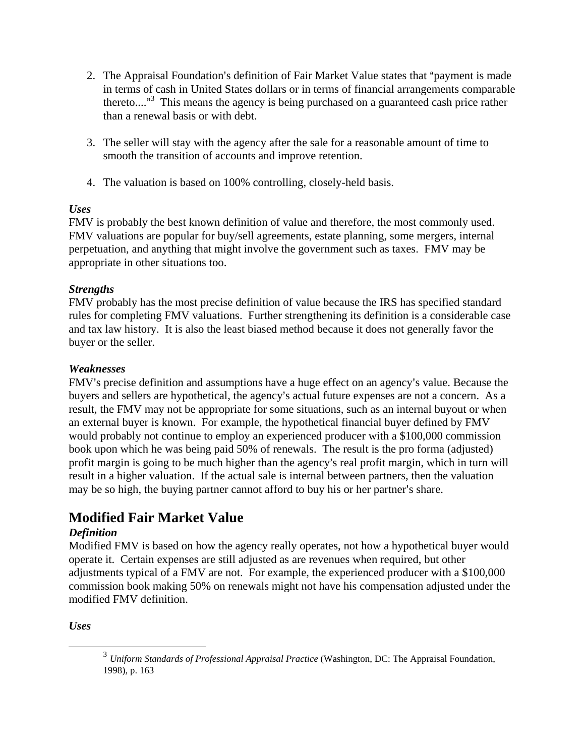- 2. The Appraisal Foundation's definition of Fair Market Value states that "payment is made" in terms of cash in United States dollars or in terms of financial arrangements comparable thereto...."<sup>[3](#page-1-0)</sup> This means the agency is being purchased on a guaranteed cash price rather than a renewal basis or with debt.
- 3. The seller will stay with the agency after the sale for a reasonable amount of time to smooth the transition of accounts and improve retention.
- 4. The valuation is based on 100% controlling, closely-held basis.

### *Uses*

FMV is probably the best known definition of value and therefore, the most commonly used. FMV valuations are popular for buy/sell agreements, estate planning, some mergers, internal perpetuation, and anything that might involve the government such as taxes. FMV may be appropriate in other situations too.

### *Strengths*

FMV probably has the most precise definition of value because the IRS has specified standard rules for completing FMV valuations. Further strengthening its definition is a considerable case and tax law history. It is also the least biased method because it does not generally favor the buyer or the seller.

## *Weaknesses*

FMV's precise definition and assumptions have a huge effect on an agency's value. Because the buyers and sellers are hypothetical, the agency's actual future expenses are not a concern. As a result, the FMV may not be appropriate for some situations, such as an internal buyout or when an external buyer is known. For example, the hypothetical financial buyer defined by FMV would probably not continue to employ an experienced producer with a \$100,000 commission book upon which he was being paid 50% of renewals. The result is the pro forma (adjusted) profit margin is going to be much higher than the agency's real profit margin, which in turn will result in a higher valuation. If the actual sale is internal between partners, then the valuation may be so high, the buying partner cannot afford to buy his or her partner's share.

## **Modified Fair Market Value**

## *Definition*

Modified FMV is based on how the agency really operates, not how a hypothetical buyer would operate it. Certain expenses are still adjusted as are revenues when required, but other adjustments typical of a FMV are not. For example, the experienced producer with a \$100,000 commission book making 50% on renewals might not have his compensation adjusted under the modified FMV definition.

*Uses*

<span id="page-1-0"></span> <sup>3</sup> *Uniform Standards of Professional Appraisal Practice* (Washington, DC: The Appraisal Foundation, 1998), p. 163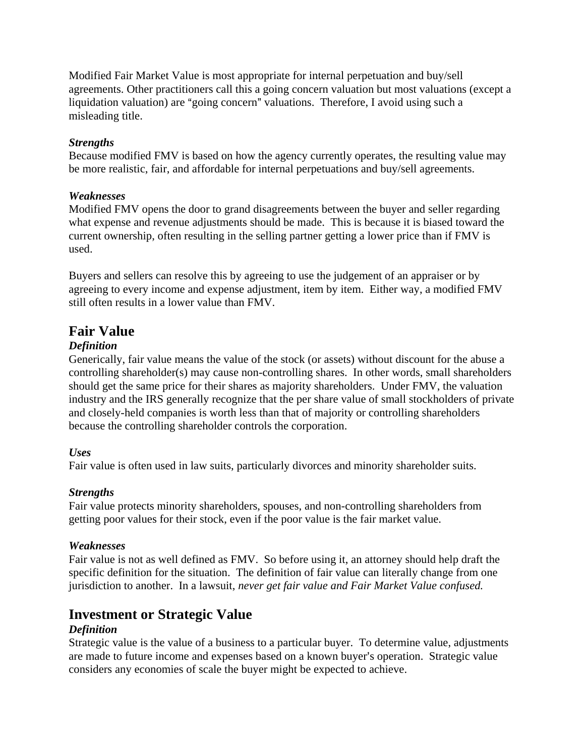Modified Fair Market Value is most appropriate for internal perpetuation and buy/sell agreements. Other practitioners call this a going concern valuation but most valuations (except a liquidation valuation) are "going concern" valuations. Therefore, I avoid using such a misleading title.

#### *Strengths*

Because modified FMV is based on how the agency currently operates, the resulting value may be more realistic, fair, and affordable for internal perpetuations and buy/sell agreements.

#### *Weaknesses*

Modified FMV opens the door to grand disagreements between the buyer and seller regarding what expense and revenue adjustments should be made. This is because it is biased toward the current ownership, often resulting in the selling partner getting a lower price than if FMV is used.

Buyers and sellers can resolve this by agreeing to use the judgement of an appraiser or by agreeing to every income and expense adjustment, item by item. Either way, a modified FMV still often results in a lower value than FMV.

## **Fair Value**

### *Definition*

Generically, fair value means the value of the stock (or assets) without discount for the abuse a controlling shareholder(s) may cause non-controlling shares. In other words, small shareholders should get the same price for their shares as majority shareholders. Under FMV, the valuation industry and the IRS generally recognize that the per share value of small stockholders of private and closely-held companies is worth less than that of majority or controlling shareholders because the controlling shareholder controls the corporation.

#### *Uses*

Fair value is often used in law suits, particularly divorces and minority shareholder suits.

### *Strengths*

Fair value protects minority shareholders, spouses, and non-controlling shareholders from getting poor values for their stock, even if the poor value is the fair market value.

#### *Weaknesses*

Fair value is not as well defined as FMV. So before using it, an attorney should help draft the specific definition for the situation. The definition of fair value can literally change from one jurisdiction to another. In a lawsuit, *never get fair value and Fair Market Value confused.*

## **Investment or Strategic Value**

### *Definition*

Strategic value is the value of a business to a particular buyer. To determine value, adjustments are made to future income and expenses based on a known buyer's operation. Strategic value considers any economies of scale the buyer might be expected to achieve.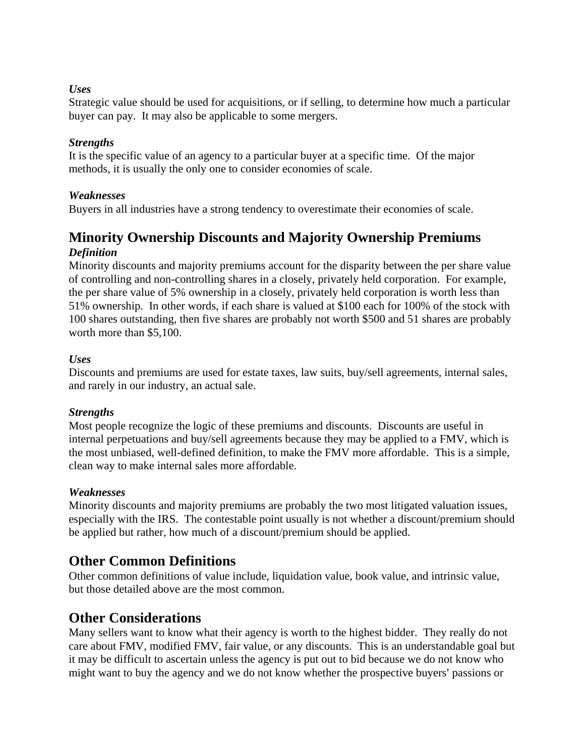#### *Uses*

Strategic value should be used for acquisitions, or if selling, to determine how much a particular buyer can pay. It may also be applicable to some mergers.

#### *Strengths*

It is the specific value of an agency to a particular buyer at a specific time. Of the major methods, it is usually the only one to consider economies of scale.

#### *Weaknesses*

Buyers in all industries have a strong tendency to overestimate their economies of scale.

## **Minority Ownership Discounts and Majority Ownership Premiums** *Definition*

Minority discounts and majority premiums account for the disparity between the per share value of controlling and non-controlling shares in a closely, privately held corporation. For example, the per share value of 5% ownership in a closely, privately held corporation is worth less than 51% ownership. In other words, if each share is valued at \$100 each for 100% of the stock with 100 shares outstanding, then five shares are probably not worth \$500 and 51 shares are probably worth more than \$5,100.

#### *Uses*

Discounts and premiums are used for estate taxes, law suits, buy/sell agreements, internal sales, and rarely in our industry, an actual sale.

### *Strengths*

Most people recognize the logic of these premiums and discounts. Discounts are useful in internal perpetuations and buy/sell agreements because they may be applied to a FMV, which is the most unbiased, well-defined definition, to make the FMV more affordable. This is a simple, clean way to make internal sales more affordable.

### *Weaknesses*

Minority discounts and majority premiums are probably the two most litigated valuation issues, especially with the IRS. The contestable point usually is not whether a discount/premium should be applied but rather, how much of a discount/premium should be applied.

## **Other Common Definitions**

Other common definitions of value include, liquidation value, book value, and intrinsic value, but those detailed above are the most common.

## **Other Considerations**

Many sellers want to know what their agency is worth to the highest bidder. They really do not care about FMV, modified FMV, fair value, or any discounts. This is an understandable goal but it may be difficult to ascertain unless the agency is put out to bid because we do not know who might want to buy the agency and we do not know whether the prospective buyers' passions or